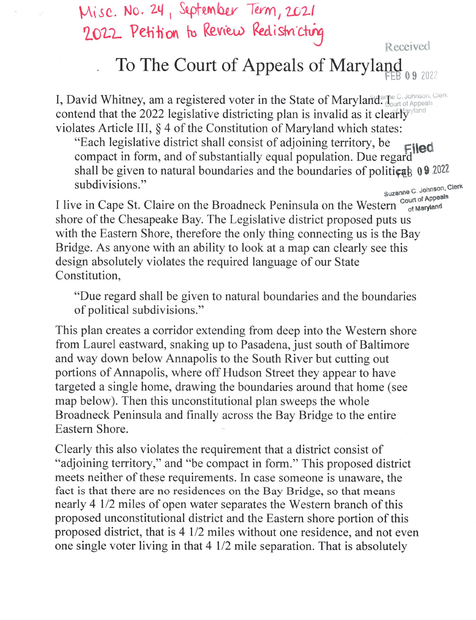Misc. No. 24, September Term, 2021 2022 Petition to Review Redistricting Received

## To The Court of Appeals of Maryland

I, David Whitney, am a registered voter in the State of Maryland. Journ of Appeals contend that the 2022 legislative districting plan is invalid as it clearly violates Article III,  $\S$  4 of the Constitution of Maryland which states:

"Each legislative district shall consist of adjoining territory, be Filed compact in form, and of substantially equal population. Due regard shall be given to natural boundaries and the boundaries of political  $\theta$ . subdivisions."

Suzanne C. Johnson, Clerk I<br>I live in Cape St. Claire on the Broadneck Peninsula on the Western Court of Appeals<br>Shore of the Chesapeake Bay. The Legislative district proposed puts us with the Eastern Shore, therefore the only thing connecting us is the Bay. Bridge. As anyone with an ability to look at a map can clearly see this design absolutely violates the required language of our State Constitution,

"Due regard shall be given to natural boundaries and the boundaries of political subdivisions."

This plan creates a corridor extending from deep into the Western shore from Laurel eastward, snaking up to Pasadena, just south of Baltimore and way down below Annapolis to the South River but cutting out portions of Annapolis, where off Hudson Street they appear to have targeted a single home, drawing the boundaries around that home (see map below). Then this unconstitutional plan sweeps the whole Broadneck Peninsula and finally across the Bay Bridge to the entire Eastern Shore.

Clearly this also violates the requirement that a district consist of "adjoining territory," and "be compact in form." This proposed district meets neither of these requirements. In case someone is unaware, the fact is that there are no residences on the Bay Bridge, so that means nearly 4 1/2 miles of open water separates the Western branch of this proposed unconstitutional district and the Eastern shore portion of this proposed district, that is 1/2 miles without one residence, and not even one single voter living in that 1/2 mile separation. That is absolutely